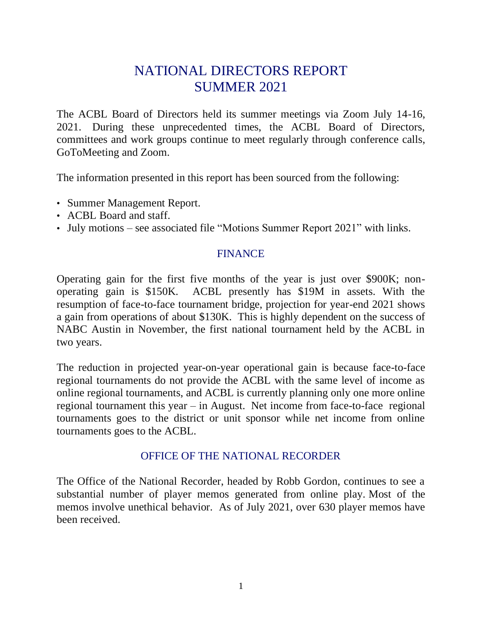# NATIONAL DIRECTORS REPORT SUMMER 2021

The ACBL Board of Directors held its summer meetings via Zoom July 14-16, 2021. During these unprecedented times, the ACBL Board of Directors, committees and work groups continue to meet regularly through conference calls, GoToMeeting and Zoom.

The information presented in this report has been sourced from the following:

- Summer Management Report.
- ACBL Board and staff.
- July motions see associated file "Motions Summer Report 2021" with links.

#### FINANCE

Operating gain for the first five months of the year is just over \$900K; nonoperating gain is \$150K. ACBL presently has \$19M in assets. With the resumption of face-to-face tournament bridge, projection for year-end 2021 shows a gain from operations of about \$130K. This is highly dependent on the success of NABC Austin in November, the first national tournament held by the ACBL in two years.

The reduction in projected year-on-year operational gain is because face-to-face regional tournaments do not provide the ACBL with the same level of income as online regional tournaments, and ACBL is currently planning only one more online regional tournament this year – in August. Net income from face-to-face regional tournaments goes to the district or unit sponsor while net income from online tournaments goes to the ACBL.

#### OFFICE OF THE NATIONAL RECORDER

The Office of the National Recorder, headed by Robb Gordon, continues to see a substantial number of player memos generated from online play. Most of the memos involve unethical behavior. As of July 2021, over 630 player memos have been received.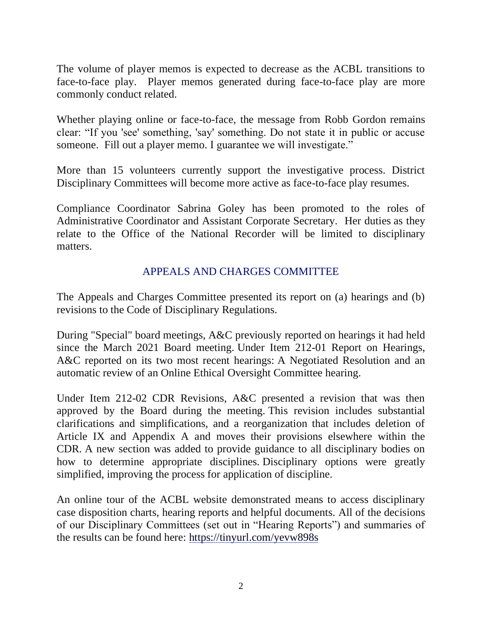The volume of player memos is expected to decrease as the ACBL transitions to face-to-face play. Player memos generated during face-to-face play are more commonly conduct related.

Whether playing online or face-to-face, the message from Robb Gordon remains clear: "If you 'see' something, 'say' something. Do not state it in public or accuse someone. Fill out a player memo. I guarantee we will investigate."

More than 15 volunteers currently support the investigative process. District Disciplinary Committees will become more active as face-to-face play resumes.

Compliance Coordinator Sabrina Goley has been promoted to the roles of Administrative Coordinator and Assistant Corporate Secretary. Her duties as they relate to the Office of the National Recorder will be limited to disciplinary matters.

## APPEALS AND CHARGES COMMITTEE

The Appeals and Charges Committee presented its report on (a) hearings and (b) revisions to the Code of Disciplinary Regulations.

During "Special" board meetings, A&C previously reported on hearings it had held since the March 2021 Board meeting. Under Item 212-01 Report on Hearings, A&C reported on its two most recent hearings: A Negotiated Resolution and an automatic review of an Online Ethical Oversight Committee hearing.

Under Item 212-02 CDR Revisions, A&C presented a revision that was then approved by the Board during the meeting. This revision includes substantial clarifications and simplifications, and a reorganization that includes deletion of Article IX and Appendix A and moves their provisions elsewhere within the CDR. A new section was added to provide guidance to all disciplinary bodies on how to determine appropriate disciplines. Disciplinary options were greatly simplified, improving the process for application of discipline.

An online tour of the ACBL website demonstrated means to access disciplinary case disposition charts, hearing reports and helpful documents. All of the decisions of our Disciplinary Committees (set out in "Hearing Reports") and summaries of the results can be found here: <https://tinyurl.com/yevw898s>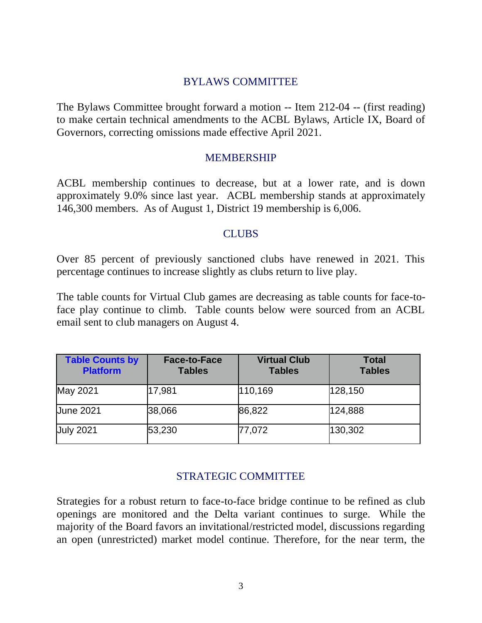#### BYLAWS COMMITTEE

The Bylaws Committee brought forward a motion -- Item 212-04 -- (first reading) to make certain technical amendments to the ACBL Bylaws, Article IX, Board of Governors, correcting omissions made effective April 2021.

#### **MEMBERSHIP**

ACBL membership continues to decrease, but at a lower rate, and is down approximately 9.0% since last year. ACBL membership stands at approximately 146,300 members. As of August 1, District 19 membership is 6,006.

#### **CLUBS**

Over 85 percent of previously sanctioned clubs have renewed in 2021. This percentage continues to increase slightly as clubs return to live play.

The table counts for Virtual Club games are decreasing as table counts for face-toface play continue to climb. Table counts below were sourced from an ACBL email sent to club managers on August 4.

| <b>Table Counts by</b><br><b>Platform</b> | <b>Face-to-Face</b><br><b>Tables</b> | <b>Virtual Club</b><br><b>Tables</b> | <b>Total</b><br><b>Tables</b> |
|-------------------------------------------|--------------------------------------|--------------------------------------|-------------------------------|
| May 2021                                  | 17,981                               | 110,169                              | 128,150                       |
| <b>June 2021</b>                          | 38,066                               | 86,822                               | 124,888                       |
| <b>July 2021</b>                          | 53,230                               | 77,072                               | 130,302                       |

# STRATEGIC COMMITTEE

Strategies for a robust return to face-to-face bridge continue to be refined as club openings are monitored and the Delta variant continues to surge. While the majority of the Board favors an invitational/restricted model, discussions regarding an open (unrestricted) market model continue. Therefore, for the near term, the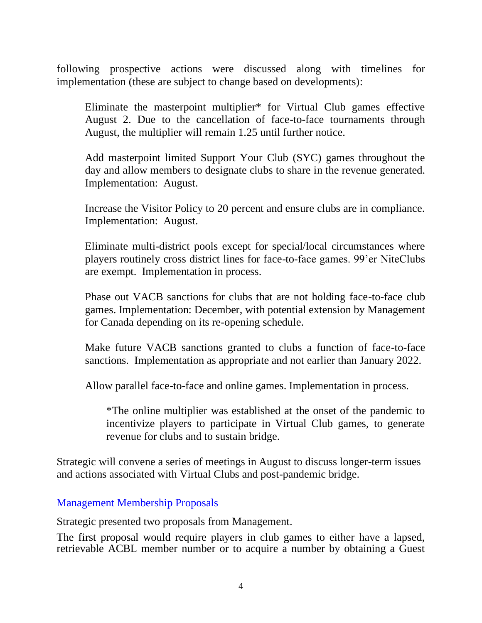following prospective actions were discussed along with timelines for implementation (these are subject to change based on developments):

Eliminate the masterpoint multiplier\* for Virtual Club games effective August 2. Due to the cancellation of face-to-face tournaments through August, the multiplier will remain 1.25 until further notice.

Add masterpoint limited Support Your Club (SYC) games throughout the day and allow members to designate clubs to share in the revenue generated. Implementation: August.

Increase the Visitor Policy to 20 percent and ensure clubs are in compliance. Implementation: August.

Eliminate multi-district pools except for special/local circumstances where players routinely cross district lines for face-to-face games. 99'er NiteClubs are exempt. Implementation in process.

Phase out VACB sanctions for clubs that are not holding face-to-face club games. Implementation: December, with potential extension by Management for Canada depending on its re-opening schedule.

Make future VACB sanctions granted to clubs a function of face-to-face sanctions. Implementation as appropriate and not earlier than January 2022.

Allow parallel face-to-face and online games. Implementation in process.

\*The online multiplier was established at the onset of the pandemic to incentivize players to participate in Virtual Club games, to generate revenue for clubs and to sustain bridge.

Strategic will convene a series of meetings in August to discuss longer-term issues and actions associated with Virtual Clubs and post-pandemic bridge.

#### Management Membership Proposals

Strategic presented two proposals from Management.

The first proposal would require players in club games to either have a lapsed, retrievable ACBL member number or to acquire a number by obtaining a Guest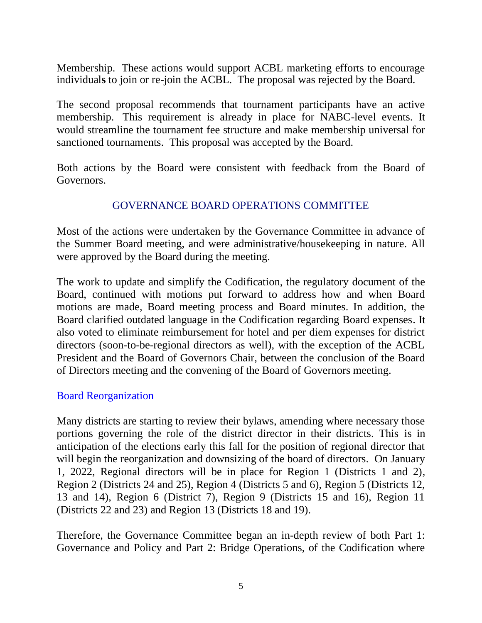Membership. These actions would support ACBL marketing efforts to encourage individual**s** to join or re-join the ACBL. The proposal was rejected by the Board.

The second proposal recommends that tournament participants have an active membership. This requirement is already in place for NABC-level events. It would streamline the tournament fee structure and make membership universal for sanctioned tournaments. This proposal was accepted by the Board.

Both actions by the Board were consistent with feedback from the Board of Governors.

## GOVERNANCE BOARD OPERATIONS COMMITTEE

Most of the actions were undertaken by the Governance Committee in advance of the Summer Board meeting, and were administrative/housekeeping in nature. All were approved by the Board during the meeting.

The work to update and simplify the Codification, the regulatory document of the Board, continued with motions put forward to address how and when Board motions are made, Board meeting process and Board minutes. In addition, the Board clarified outdated language in the Codification regarding Board expenses. It also voted to eliminate reimbursement for hotel and per diem expenses for district directors (soon-to-be-regional directors as well), with the exception of the ACBL President and the Board of Governors Chair, between the conclusion of the Board of Directors meeting and the convening of the Board of Governors meeting.

#### Board Reorganization

Many districts are starting to review their bylaws, amending where necessary those portions governing the role of the district director in their districts. This is in anticipation of the elections early this fall for the position of regional director that will begin the reorganization and downsizing of the board of directors. On January 1, 2022, Regional directors will be in place for Region 1 (Districts 1 and 2), Region 2 (Districts 24 and 25), Region 4 (Districts 5 and 6), Region 5 (Districts 12, 13 and 14), Region 6 (District 7), Region 9 (Districts 15 and 16), Region 11 (Districts 22 and 23) and Region 13 (Districts 18 and 19).

Therefore, the Governance Committee began an in-depth review of both Part 1: Governance and Policy and Part 2: Bridge Operations, of the Codification where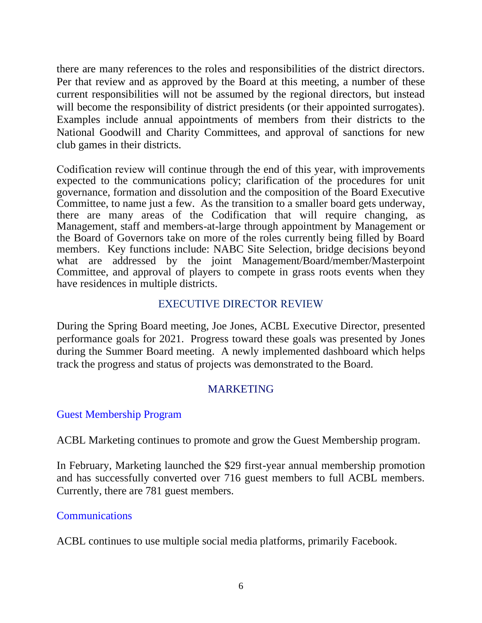there are many references to the roles and responsibilities of the district directors. Per that review and as approved by the Board at this meeting, a number of these current responsibilities will not be assumed by the regional directors, but instead will become the responsibility of district presidents (or their appointed surrogates). Examples include annual appointments of members from their districts to the National Goodwill and Charity Committees, and approval of sanctions for new club games in their districts.

Codification review will continue through the end of this year, with improvements expected to the communications policy; clarification of the procedures for unit governance, formation and dissolution and the composition of the Board Executive Committee, to name just a few. As the transition to a smaller board gets underway, there are many areas of the Codification that will require changing, as Management, staff and members-at-large through appointment by Management or the Board of Governors take on more of the roles currently being filled by Board members. Key functions include: NABC Site Selection, bridge decisions beyond what are addressed by the joint Management/Board/member/Masterpoint Committee, and approval of players to compete in grass roots events when they have residences in multiple districts.

## EXECUTIVE DIRECTOR REVIEW

During the Spring Board meeting, Joe Jones, ACBL Executive Director, presented performance goals for 2021. Progress toward these goals was presented by Jones during the Summer Board meeting. A newly implemented dashboard which helps track the progress and status of projects was demonstrated to the Board.

# MARKETING

#### Guest Membership Program

ACBL Marketing continues to promote and grow the Guest Membership program.

In February, Marketing launched the \$29 first-year annual membership promotion and has successfully converted over 716 guest members to full ACBL members. Currently, there are 781 guest members.

#### **Communications**

ACBL continues to use multiple social media platforms, primarily Facebook.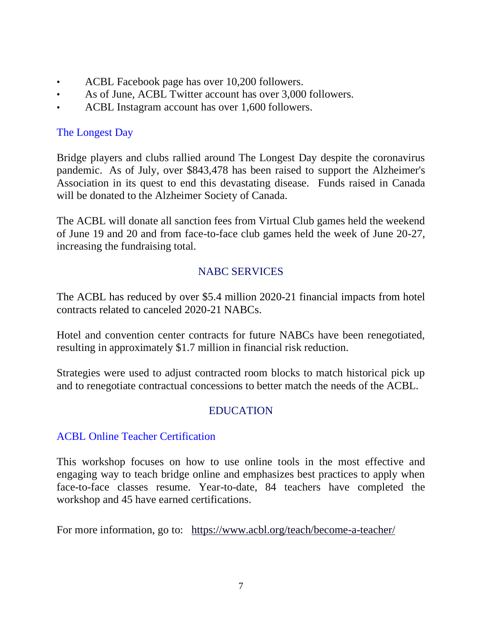- ACBL Facebook page has over 10,200 followers.
- As of June, ACBL Twitter account has over 3,000 followers.
- ACBL Instagram account has over 1,600 followers.

# The Longest Day

Bridge players and clubs rallied around The Longest Day despite the coronavirus pandemic. As of July, over \$843,478 has been raised to support the Alzheimer's Association in its quest to end this devastating disease. Funds raised in Canada will be donated to the Alzheimer Society of Canada.

The ACBL will donate all sanction fees from Virtual Club games held the weekend of June 19 and 20 and from face-to-face club games held the week of June 20-27, increasing the fundraising total.

# NABC SERVICES

The ACBL has reduced by over \$5.4 million 2020-21 financial impacts from hotel contracts related to canceled 2020-21 NABCs.

Hotel and convention center contracts for future NABCs have been renegotiated, resulting in approximately \$1.7 million in financial risk reduction.

Strategies were used to adjust contracted room blocks to match historical pick up and to renegotiate contractual concessions to better match the needs of the ACBL.

# EDUCATION

# ACBL Online Teacher Certification

This workshop focuses on how to use online tools in the most effective and engaging way to teach bridge online and emphasizes best practices to apply when face-to-face classes resume. Year-to-date, 84 teachers have completed the workshop and 45 have earned certifications.

For more information, go to: <https://www.acbl.org/teach/become-a-teacher/>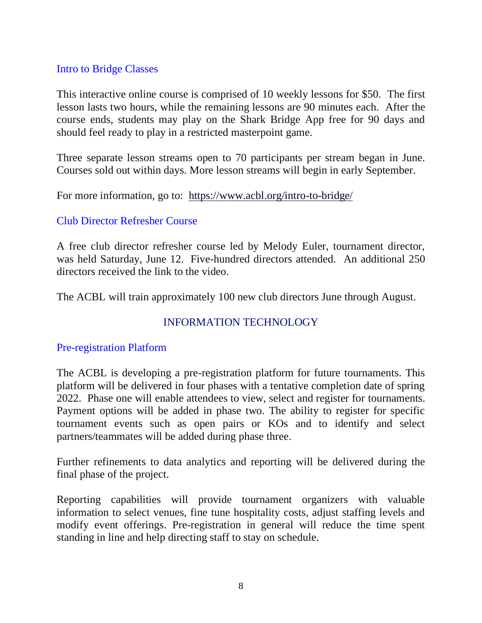#### Intro to Bridge Classes

This interactive online course is comprised of 10 weekly lessons for \$50. The first lesson lasts two hours, while the remaining lessons are 90 minutes each. After the course ends, students may play on the Shark Bridge App free for 90 days and should feel ready to play in a restricted masterpoint game.

Three separate lesson streams open to 70 participants per stream began in June. Courses sold out within days. More lesson streams will begin in early September.

For more information, go to: <https://www.acbl.org/intro-to-bridge/>

#### Club Director Refresher Course

A free club director refresher course led by Melody Euler, tournament director, was held Saturday, June 12. Five-hundred directors attended. An additional 250 directors received the link to the video.

The ACBL will train approximately 100 new club directors June through August.

# INFORMATION TECHNOLOGY

#### Pre-registration Platform

The ACBL is developing a pre-registration platform for future tournaments. This platform will be delivered in four phases with a tentative completion date of spring 2022. Phase one will enable attendees to view, select and register for tournaments. Payment options will be added in phase two. The ability to register for specific tournament events such as open pairs or KOs and to identify and select partners/teammates will be added during phase three.

Further refinements to data analytics and reporting will be delivered during the final phase of the project.

Reporting capabilities will provide tournament organizers with valuable information to select venues, fine tune hospitality costs, adjust staffing levels and modify event offerings. Pre-registration in general will reduce the time spent standing in line and help directing staff to stay on schedule.